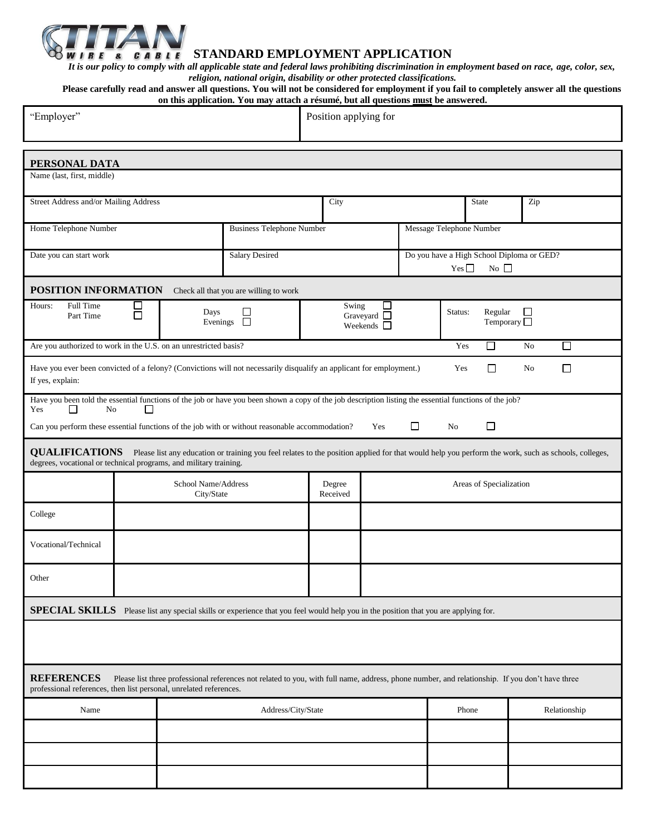

**STANDARD EMPLOYMENT APPLICATION**

*It is our policy to comply with all applicable state and federal laws prohibiting discrimination in employment based on race, age, color, sex, religion, national origin, disability or other protected classifications.*

**Please carefully read and answer all questions. You will not be considered for employment if you fail to completely answer all the questions on this application. You may attach a résumé, but all questions must be answered.**

| "Employer"                                                                                                                                                                                                                                        | он инз аррисанон. Тоа ніау анасн а гезаніс, оат ан дасэнонэ ніазі бе анэмегса.<br>Position applying for |                                   |                                                                         |                    |                         |                                                |                                                                 |     |              |  |  |
|---------------------------------------------------------------------------------------------------------------------------------------------------------------------------------------------------------------------------------------------------|---------------------------------------------------------------------------------------------------------|-----------------------------------|-------------------------------------------------------------------------|--------------------|-------------------------|------------------------------------------------|-----------------------------------------------------------------|-----|--------------|--|--|
| PERSONAL DATA                                                                                                                                                                                                                                     |                                                                                                         |                                   |                                                                         |                    |                         |                                                |                                                                 |     |              |  |  |
| Name (last, first, middle)                                                                                                                                                                                                                        |                                                                                                         |                                   |                                                                         |                    |                         |                                                |                                                                 |     |              |  |  |
| Street Address and/or Mailing Address                                                                                                                                                                                                             |                                                                                                         |                                   | City                                                                    |                    |                         |                                                | <b>State</b>                                                    | Zip |              |  |  |
| Home Telephone Number                                                                                                                                                                                                                             |                                                                                                         |                                   | <b>Business Telephone Number</b>                                        |                    |                         |                                                | Message Telephone Number                                        |     |              |  |  |
| Date you can start work                                                                                                                                                                                                                           |                                                                                                         |                                   | <b>Salary Desired</b>                                                   |                    |                         |                                                | Do you have a High School Diploma or GED?<br>Yes<br>$No$ $\Box$ |     |              |  |  |
| POSITION INFORMATION<br>Check all that you are willing to work                                                                                                                                                                                    |                                                                                                         |                                   |                                                                         |                    |                         |                                                |                                                                 |     |              |  |  |
| Full Time<br>Hours:<br>Part Time                                                                                                                                                                                                                  | $\Box$                                                                                                  | Days                              | Swing<br>⊔<br>Graveyard $\Box$<br>Evenings $\Box$<br>Weekends $\square$ |                    |                         | Regular<br>Status:<br>ப<br>Temporary $\square$ |                                                                 |     |              |  |  |
| $\Box$<br>Are you authorized to work in the U.S. on an unrestricted basis?<br>Yes<br>No                                                                                                                                                           |                                                                                                         |                                   |                                                                         |                    |                         |                                                |                                                                 | П   |              |  |  |
| Have you ever been convicted of a felony? (Convictions will not necessarily disqualify an applicant for employment.)<br>□<br>$\Box$<br>Yes<br>No<br>If yes, explain:                                                                              |                                                                                                         |                                   |                                                                         |                    |                         |                                                |                                                                 |     |              |  |  |
| Have you been told the essential functions of the job or have you been shown a copy of the job description listing the essential functions of the job?<br>N <sub>o</sub><br>Yes<br>ΓI<br>$\mathsf{L}$                                             |                                                                                                         |                                   |                                                                         |                    |                         |                                                |                                                                 |     |              |  |  |
| $\Box$<br>$\Box$<br>Can you perform these essential functions of the job with or without reasonable accommodation?<br>Yes<br>No                                                                                                                   |                                                                                                         |                                   |                                                                         |                    |                         |                                                |                                                                 |     |              |  |  |
| <b>QUALIFICATIONS</b><br>Please list any education or training you feel relates to the position applied for that would help you perform the work, such as schools, colleges,<br>degrees, vocational or technical programs, and military training. |                                                                                                         |                                   |                                                                         |                    |                         |                                                |                                                                 |     |              |  |  |
|                                                                                                                                                                                                                                                   |                                                                                                         | School Name/Address<br>City/State |                                                                         | Degree<br>Received | Areas of Specialization |                                                |                                                                 |     |              |  |  |
| College                                                                                                                                                                                                                                           |                                                                                                         |                                   |                                                                         |                    |                         |                                                |                                                                 |     |              |  |  |
| Vocational/Technical                                                                                                                                                                                                                              |                                                                                                         |                                   |                                                                         |                    |                         |                                                |                                                                 |     |              |  |  |
| Other                                                                                                                                                                                                                                             |                                                                                                         |                                   |                                                                         |                    |                         |                                                |                                                                 |     |              |  |  |
| <b>SPECIAL SKILLS</b> Please list any special skills or experience that you feel would help you in the position that you are applying for.                                                                                                        |                                                                                                         |                                   |                                                                         |                    |                         |                                                |                                                                 |     |              |  |  |
|                                                                                                                                                                                                                                                   |                                                                                                         |                                   |                                                                         |                    |                         |                                                |                                                                 |     |              |  |  |
| <b>REFERENCES</b><br>Please list three professional references not related to you, with full name, address, phone number, and relationship. If you don't have three<br>professional references, then list personal, unrelated references.         |                                                                                                         |                                   |                                                                         |                    |                         |                                                |                                                                 |     |              |  |  |
| Name                                                                                                                                                                                                                                              |                                                                                                         |                                   | Address/City/State                                                      |                    |                         |                                                | Phone                                                           |     | Relationship |  |  |
|                                                                                                                                                                                                                                                   |                                                                                                         |                                   |                                                                         |                    |                         |                                                |                                                                 |     |              |  |  |
|                                                                                                                                                                                                                                                   |                                                                                                         |                                   |                                                                         |                    |                         |                                                |                                                                 |     |              |  |  |
|                                                                                                                                                                                                                                                   |                                                                                                         |                                   |                                                                         |                    |                         |                                                |                                                                 |     |              |  |  |